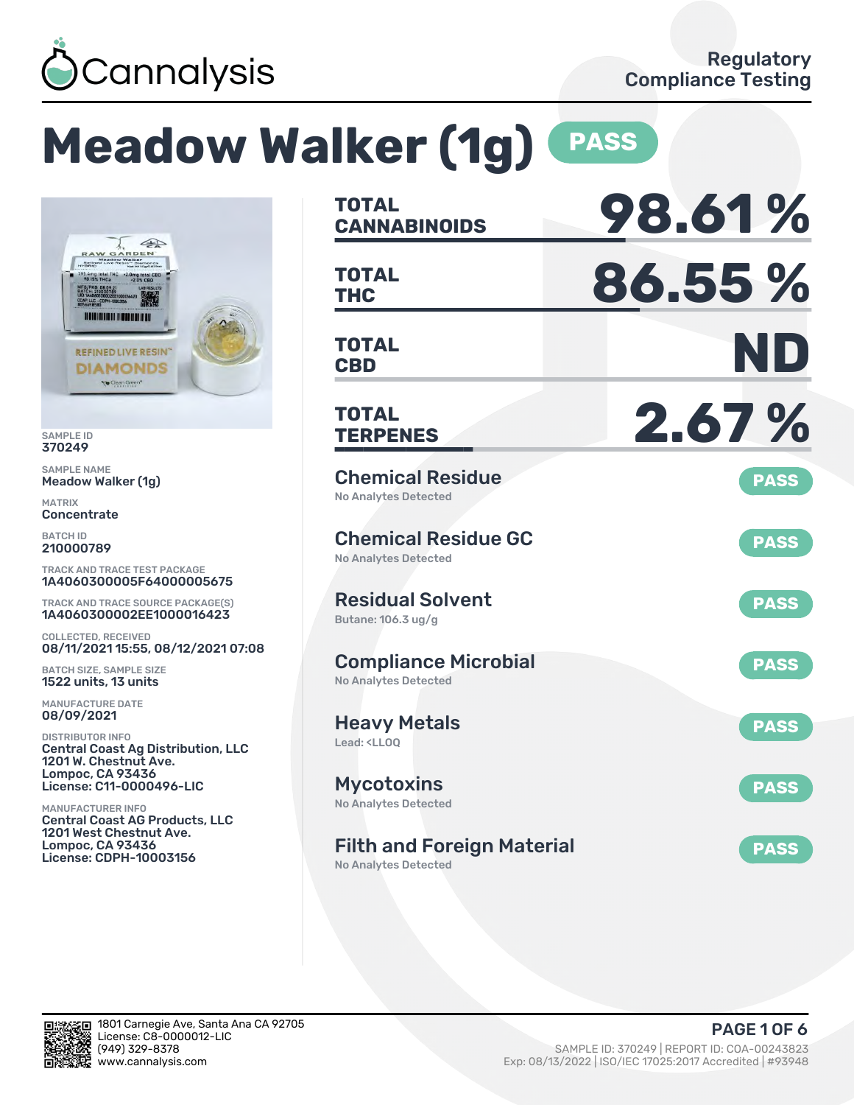

# **Meadow Walker (1g) PASS**



SAMPLE ID 370249

SAMPLE NAME Meadow Walker (1g)

MATRIX **Concentrate** 

BATCH ID 210000789

TRACK AND TRACE TEST PACKAGE 1A4060300005F64000005675

TRACK AND TRACE SOURCE PACKAGE(S) 1A4060300002EE1000016423

COLLECTED, RECEIVED 08/11/2021 15:55, 08/12/2021 07:08

BATCH SIZE, SAMPLE SIZE 1522 units, 13 units

MANUFACTURE DATE 08/09/2021

DISTRIBUTOR INFO Central Coast Ag Distribution, LLC 1201 W. Chestnut Ave. Lompoc, CA 93436 License: C11-0000496-LIC

MANUFACTURER INFO Central Coast AG Products, LLC 1201 West Chestnut Ave. Lompoc, CA 93436 License: CDPH-10003156

| <b>TOTAL</b><br><b>CANNABINOIDS</b>                                    | 98.61%      |
|------------------------------------------------------------------------|-------------|
| <b>TOTAL</b><br><b>THC</b>                                             | 86.55%      |
| <b>TOTAL</b><br><b>CBD</b>                                             | ND          |
| <b>TOTAL</b><br><b>TERPENES</b>                                        | 2.67%       |
| <b>Chemical Residue</b><br>No Analytes Detected                        | <b>PASS</b> |
| <b>Chemical Residue GC</b><br><b>No Analytes Detected</b>              | <b>PASS</b> |
| <b>Residual Solvent</b><br>Butane: 106.3 ug/g                          | <b>PASS</b> |
| <b>Compliance Microbial</b><br>No Analytes Detected                    | <b>PASS</b> |
| <b>Heavy Metals</b><br>Lead: <ll00< td=""><td><b>PASS</b></td></ll00<> | <b>PASS</b> |
| <b>Mycotoxins</b><br>No Analytes Detected                              | <b>PASS</b> |
| <b>Filth and Foreign Material</b><br>No Analytes Detected              | <b>PASS</b> |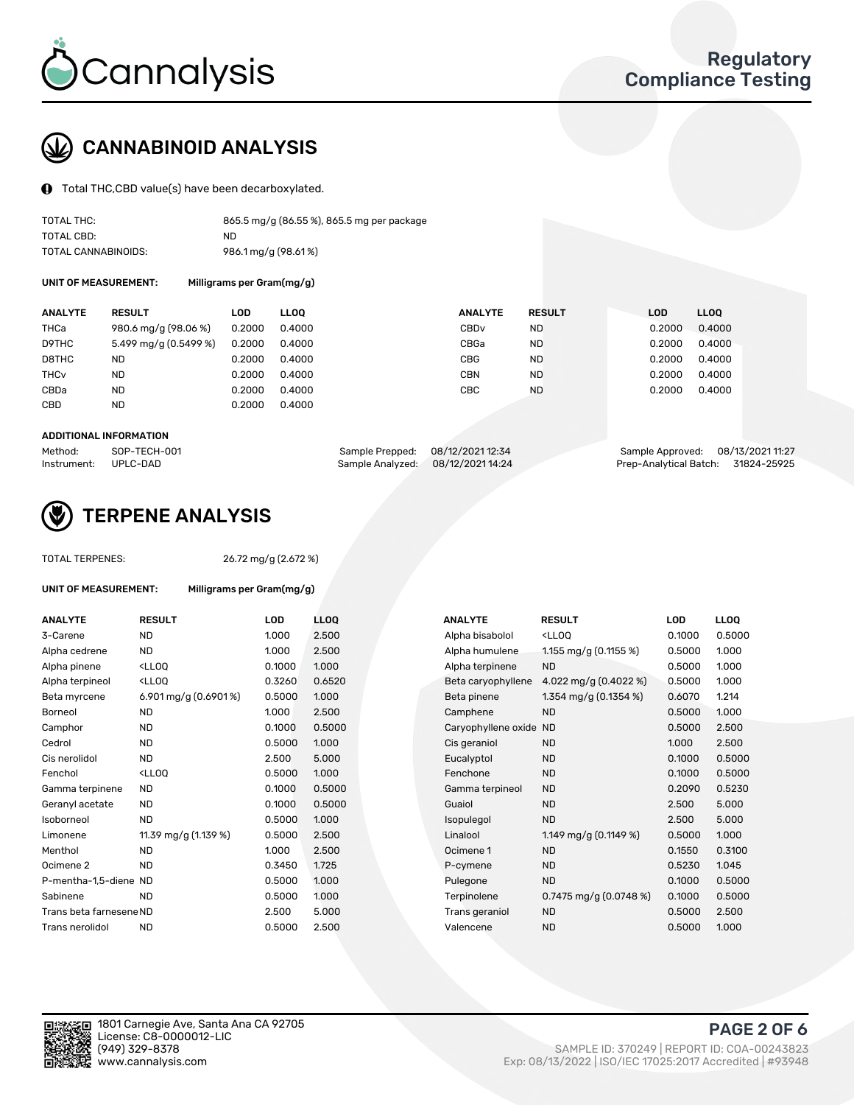

# CANNABINOID ANALYSIS

Total THC,CBD value(s) have been decarboxylated.

| TOTAL THC:          | 865.5 mg/g (86.55 %), 865.5 mg per package |
|---------------------|--------------------------------------------|
| TOTAL CBD:          | ND.                                        |
| TOTAL CANNABINOIDS: | 986.1 mg/g (98.61%)                        |

UNIT OF MEASUREMENT: Milligrams per Gram(mg/g)

| <b>RESULT</b>         | LOD    | <b>LLOO</b> | <b>ANALYTE</b>   |           |               | LOD    | LL <sub>00</sub> |
|-----------------------|--------|-------------|------------------|-----------|---------------|--------|------------------|
| 980.6 mg/g (98.06 %)  | 0.2000 | 0.4000      | CBD <sub>v</sub> | <b>ND</b> |               | 0.2000 | 0.4000           |
| 5.499 mg/g (0.5499 %) | 0.2000 | 0.4000      | CBGa             | <b>ND</b> |               | 0.2000 | 0.4000           |
| ND                    | 0.2000 | 0.4000      | <b>CBG</b>       | <b>ND</b> |               | 0.2000 | 0.4000           |
| <b>ND</b>             | 0.2000 | 0.4000      | <b>CBN</b>       | <b>ND</b> |               | 0.2000 | 0.4000           |
| <b>ND</b>             | 0.2000 | 0.4000      | CBC              | <b>ND</b> |               | 0.2000 | 0.4000           |
| <b>ND</b>             | 0.2000 | 0.4000      |                  |           |               |        |                  |
|                       |        |             |                  |           | <b>RESULT</b> |        |                  |

#### ADDITIONAL INFORMATION

| Method:              | SOP-TECH-001 | Sample Prepped: 08/12/2021 12:34  | Sample Approved: 08/13/2021 11:27  |  |
|----------------------|--------------|-----------------------------------|------------------------------------|--|
| Instrument: UPLC-DAD |              | Sample Analyzed: 08/12/2021 14:24 | Prep-Analytical Batch: 31824-25925 |  |



## **(V)** TERPENE ANALYSIS

| <b>TOTAL TERPENES:</b>  |                                                    | 26.72 mg/g (2.672 %) |             |
|-------------------------|----------------------------------------------------|----------------------|-------------|
| UNIT OF MEASUREMENT:    | Milligrams per Gram(mg/g)                          |                      |             |
| <b>ANALYTE</b>          | <b>RESULT</b>                                      | LOD                  | <b>LLOO</b> |
| 3-Carene                | <b>ND</b>                                          | 1.000                | 2.500       |
| Alpha cedrene           | <b>ND</b>                                          | 1.000                | 2.500       |
| Alpha pinene            | <lloo< td=""><td>0.1000</td><td>1.000</td></lloo<> | 0.1000               | 1.000       |
| Alpha terpineol         | <lloq< td=""><td>0.3260</td><td>0.652</td></lloq<> | 0.3260               | 0.652       |
| Beta myrcene            | 6.901 mg/g $(0.6901\%)$                            | 0.5000               | 1.00C       |
| Borneol                 | <b>ND</b>                                          | 1.000                | 2.500       |
| Camphor                 | <b>ND</b>                                          | 0.1000               | 0.500       |
| Cedrol                  | <b>ND</b>                                          | 0.5000               | 1.000       |
| Cis nerolidol           | <b>ND</b>                                          | 2.500                | 5.000       |
| Fenchol                 | <lloo< td=""><td>0.5000</td><td>1.000</td></lloo<> | 0.5000               | 1.000       |
| Gamma terpinene         | <b>ND</b>                                          | 0.1000               | 0.50(       |
| Geranyl acetate         | <b>ND</b>                                          | 0.1000               | 0.500       |
| Isoborneol              | <b>ND</b>                                          | 0.5000               | 1.000       |
| Limonene                | 11.39 mg/g (1.139 %)                               | 0.5000               | 2.500       |
| Menthol                 | <b>ND</b>                                          | 1.000                | 2.500       |
| Ocimene <sub>2</sub>    | <b>ND</b>                                          | 0.3450               | 1.725       |
| P-mentha-1,5-diene ND   |                                                    | 0.5000               | 1.000       |
| Sabinene                | N <sub>D</sub>                                     | 0.5000               | 1.000       |
| Trans beta farnesene ND |                                                    | 2.500                | 5.000       |
| Trans nerolidol         | <b>ND</b>                                          | 0.5000               | 2.500       |
|                         |                                                    |                      |             |
|                         |                                                    |                      |             |

| <b>ANALYTE</b>          | <b>RESULT</b>                                                                                                                                           | LOD    | <b>LLOQ</b> | <b>ANALYTE</b>      | <b>RESULT</b>                                       | <b>LOD</b> | <b>LLOQ</b> |
|-------------------------|---------------------------------------------------------------------------------------------------------------------------------------------------------|--------|-------------|---------------------|-----------------------------------------------------|------------|-------------|
| 3-Carene                | <b>ND</b>                                                                                                                                               | 1.000  | 2.500       | Alpha bisabolol     | <ll0q< td=""><td>0.1000</td><td>0.5000</td></ll0q<> | 0.1000     | 0.5000      |
| Alpha cedrene           | <b>ND</b>                                                                                                                                               | 1.000  | 2.500       | Alpha humulene      | 1.155 mg/g (0.1155 %)                               | 0.5000     | 1.000       |
| Alpha pinene            | <lloq< td=""><td>0.1000</td><td>1.000</td><td>Alpha terpinene</td><td><b>ND</b></td><td>0.5000</td><td>1.000</td></lloq<>                               | 0.1000 | 1.000       | Alpha terpinene     | <b>ND</b>                                           | 0.5000     | 1.000       |
| Alpha terpineol         | <lloq< td=""><td>0.3260</td><td>0.6520</td><td>Beta caryophyllene</td><td>4.022 mg/g <math>(0.4022 \%)</math></td><td>0.5000</td><td>1.000</td></lloq<> | 0.3260 | 0.6520      | Beta caryophyllene  | 4.022 mg/g $(0.4022 \%)$                            | 0.5000     | 1.000       |
| Beta myrcene            | 6.901 mg/g (0.6901%)                                                                                                                                    | 0.5000 | 1.000       | Beta pinene         | 1.354 mg/g $(0.1354\%)$                             | 0.6070     | 1.214       |
| Borneol                 | <b>ND</b>                                                                                                                                               | 1.000  | 2.500       | Camphene            | <b>ND</b>                                           | 0.5000     | 1.000       |
| Camphor                 | <b>ND</b>                                                                                                                                               | 0.1000 | 0.5000      | Caryophyllene oxide | <b>ND</b>                                           | 0.5000     | 2.500       |
| Cedrol                  | <b>ND</b>                                                                                                                                               | 0.5000 | 1.000       | Cis geraniol        | <b>ND</b>                                           | 1.000      | 2.500       |
| Cis nerolidol           | <b>ND</b>                                                                                                                                               | 2.500  | 5.000       | Eucalyptol          | <b>ND</b>                                           | 0.1000     | 0.5000      |
| Fenchol                 | <lloq< td=""><td>0.5000</td><td>1.000</td><td>Fenchone</td><td><b>ND</b></td><td>0.1000</td><td>0.5000</td></lloq<>                                     | 0.5000 | 1.000       | Fenchone            | <b>ND</b>                                           | 0.1000     | 0.5000      |
| Gamma terpinene         | <b>ND</b>                                                                                                                                               | 0.1000 | 0.5000      | Gamma terpineol     | <b>ND</b>                                           | 0.2090     | 0.5230      |
| Geranyl acetate         | <b>ND</b>                                                                                                                                               | 0.1000 | 0.5000      | Guaiol              | <b>ND</b>                                           | 2.500      | 5.000       |
| Isoborneol              | ND                                                                                                                                                      | 0.5000 | 1.000       | Isopulegol          | <b>ND</b>                                           | 2.500      | 5.000       |
| Limonene                | 11.39 mg/g $(1.139\%)$                                                                                                                                  | 0.5000 | 2.500       | Linalool            | 1.149 mg/g $(0.1149%)$                              | 0.5000     | 1.000       |
| Menthol                 | <b>ND</b>                                                                                                                                               | 1.000  | 2.500       | Ocimene 1           | <b>ND</b>                                           | 0.1550     | 0.3100      |
| Ocimene 2               | <b>ND</b>                                                                                                                                               | 0.3450 | 1.725       | P-cymene            | <b>ND</b>                                           | 0.5230     | 1.045       |
| P-mentha-1,5-diene ND   |                                                                                                                                                         | 0.5000 | 1.000       | Pulegone            | <b>ND</b>                                           | 0.1000     | 0.5000      |
| Sabinene                | <b>ND</b>                                                                                                                                               | 0.5000 | 1.000       | Terpinolene         | 0.7475 mg/g $(0.0748\%)$                            | 0.1000     | 0.5000      |
| Trans beta farnesene ND |                                                                                                                                                         | 2.500  | 5.000       | Trans geraniol      | <b>ND</b>                                           | 0.5000     | 2.500       |
| Trans nerolidol         | <b>ND</b>                                                                                                                                               | 0.5000 | 2.500       | Valencene           | <b>ND</b>                                           | 0.5000     | 1.000       |
|                         |                                                                                                                                                         |        |             |                     |                                                     |            |             |



PAGE 2 OF 6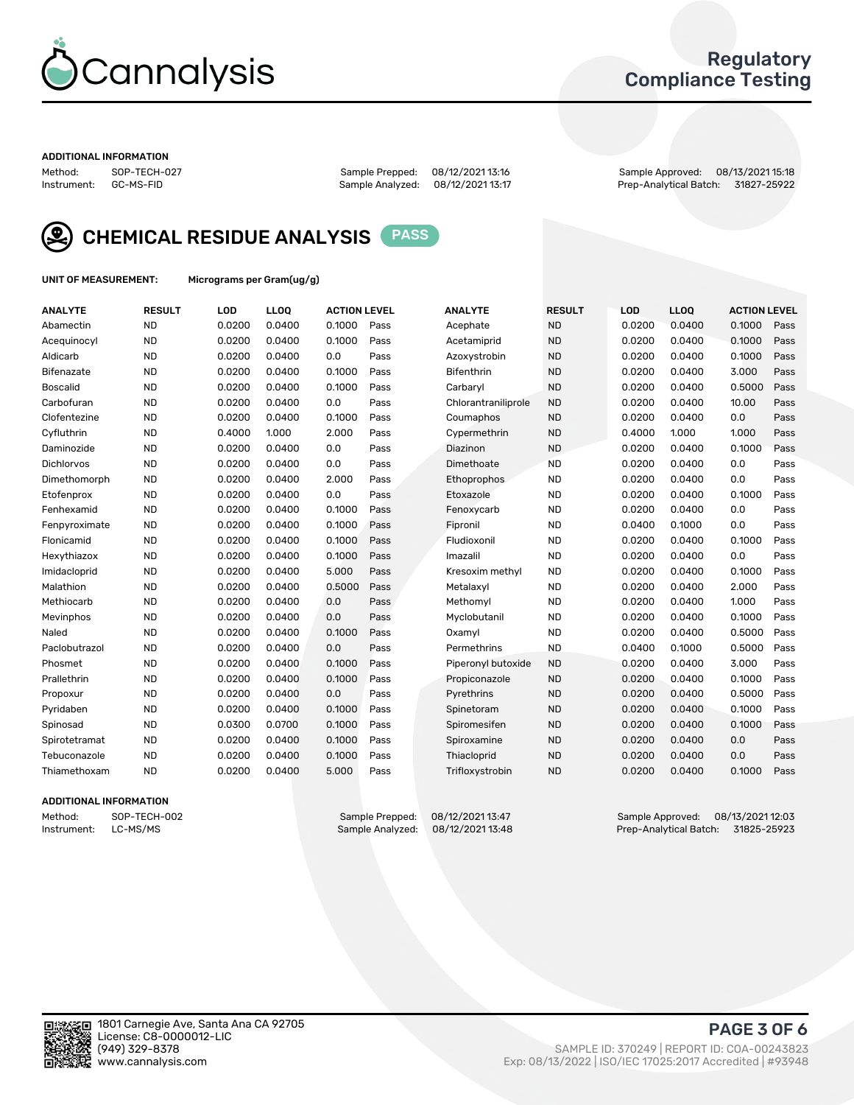

## Regulatory Compliance Testing

#### ADDITIONAL INFORMATION

Method: SOP-TECH-027 Sample Prepped: 08/12/2021 13:16 Sample Approved: 08/13/2021 15:18 Prep-Analytical Batch: 31827-25922



CHEMICAL RESIDUE ANALYSIS PASS

UNIT OF MEASUREMENT: Micrograms per Gram(ug/g)

| <b>ANALYTE</b>    | <b>RESULT</b> | LOD    | LLOQ   | <b>ACTION LEVEL</b> |      | <b>ANALYTE</b>      | <b>RESULT</b> | LOD    | <b>LLOQ</b> | <b>ACTION LEVEL</b> |      |
|-------------------|---------------|--------|--------|---------------------|------|---------------------|---------------|--------|-------------|---------------------|------|
| Abamectin         | <b>ND</b>     | 0.0200 | 0.0400 | 0.1000              | Pass | Acephate            | <b>ND</b>     | 0.0200 | 0.0400      | 0.1000              | Pass |
| Acequinocyl       | <b>ND</b>     | 0.0200 | 0.0400 | 0.1000              | Pass | Acetamiprid         | <b>ND</b>     | 0.0200 | 0.0400      | 0.1000              | Pass |
| Aldicarb          | <b>ND</b>     | 0.0200 | 0.0400 | 0.0                 | Pass | Azoxystrobin        | <b>ND</b>     | 0.0200 | 0.0400      | 0.1000              | Pass |
| Bifenazate        | <b>ND</b>     | 0.0200 | 0.0400 | 0.1000              | Pass | <b>Bifenthrin</b>   | <b>ND</b>     | 0.0200 | 0.0400      | 3.000               | Pass |
| <b>Boscalid</b>   | <b>ND</b>     | 0.0200 | 0.0400 | 0.1000              | Pass | Carbarvl            | <b>ND</b>     | 0.0200 | 0.0400      | 0.5000              | Pass |
| Carbofuran        | <b>ND</b>     | 0.0200 | 0.0400 | 0.0                 | Pass | Chlorantraniliprole | <b>ND</b>     | 0.0200 | 0.0400      | 10.00               | Pass |
| Clofentezine      | <b>ND</b>     | 0.0200 | 0.0400 | 0.1000              | Pass | Coumaphos           | <b>ND</b>     | 0.0200 | 0.0400      | 0.0                 | Pass |
| Cyfluthrin        | <b>ND</b>     | 0.4000 | 1.000  | 2.000               | Pass | Cypermethrin        | <b>ND</b>     | 0.4000 | 1.000       | 1.000               | Pass |
| Daminozide        | <b>ND</b>     | 0.0200 | 0.0400 | 0.0                 | Pass | Diazinon            | <b>ND</b>     | 0.0200 | 0.0400      | 0.1000              | Pass |
| <b>Dichlorvos</b> | <b>ND</b>     | 0.0200 | 0.0400 | 0.0                 | Pass | Dimethoate          | <b>ND</b>     | 0.0200 | 0.0400      | 0.0                 | Pass |
| Dimethomorph      | <b>ND</b>     | 0.0200 | 0.0400 | 2.000               | Pass | <b>Ethoprophos</b>  | <b>ND</b>     | 0.0200 | 0.0400      | 0.0                 | Pass |
| Etofenprox        | <b>ND</b>     | 0.0200 | 0.0400 | 0.0                 | Pass | Etoxazole           | <b>ND</b>     | 0.0200 | 0.0400      | 0.1000              | Pass |
| Fenhexamid        | <b>ND</b>     | 0.0200 | 0.0400 | 0.1000              | Pass | Fenoxycarb          | <b>ND</b>     | 0.0200 | 0.0400      | 0.0                 | Pass |
| Fenpyroximate     | <b>ND</b>     | 0.0200 | 0.0400 | 0.1000              | Pass | Fipronil            | <b>ND</b>     | 0.0400 | 0.1000      | 0.0                 | Pass |
| Flonicamid        | <b>ND</b>     | 0.0200 | 0.0400 | 0.1000              | Pass | Fludioxonil         | <b>ND</b>     | 0.0200 | 0.0400      | 0.1000              | Pass |
| Hexythiazox       | <b>ND</b>     | 0.0200 | 0.0400 | 0.1000              | Pass | Imazalil            | <b>ND</b>     | 0.0200 | 0.0400      | 0.0                 | Pass |
| Imidacloprid      | <b>ND</b>     | 0.0200 | 0.0400 | 5.000               | Pass | Kresoxim methyl     | <b>ND</b>     | 0.0200 | 0.0400      | 0.1000              | Pass |
| Malathion         | <b>ND</b>     | 0.0200 | 0.0400 | 0.5000              | Pass | Metalaxyl           | <b>ND</b>     | 0.0200 | 0.0400      | 2.000               | Pass |
| Methiocarb        | <b>ND</b>     | 0.0200 | 0.0400 | 0.0                 | Pass | Methomyl            | <b>ND</b>     | 0.0200 | 0.0400      | 1.000               | Pass |
| Mevinphos         | <b>ND</b>     | 0.0200 | 0.0400 | 0.0                 | Pass | Myclobutanil        | <b>ND</b>     | 0.0200 | 0.0400      | 0.1000              | Pass |
| Naled             | <b>ND</b>     | 0.0200 | 0.0400 | 0.1000              | Pass | Oxamyl              | <b>ND</b>     | 0.0200 | 0.0400      | 0.5000              | Pass |
| Paclobutrazol     | <b>ND</b>     | 0.0200 | 0.0400 | 0.0                 | Pass | Permethrins         | <b>ND</b>     | 0.0400 | 0.1000      | 0.5000              | Pass |
| Phosmet           | <b>ND</b>     | 0.0200 | 0.0400 | 0.1000              | Pass | Piperonyl butoxide  | <b>ND</b>     | 0.0200 | 0.0400      | 3.000               | Pass |
| Prallethrin       | <b>ND</b>     | 0.0200 | 0.0400 | 0.1000              | Pass | Propiconazole       | <b>ND</b>     | 0.0200 | 0.0400      | 0.1000              | Pass |
| Propoxur          | <b>ND</b>     | 0.0200 | 0.0400 | 0.0                 | Pass | Pyrethrins          | <b>ND</b>     | 0.0200 | 0.0400      | 0.5000              | Pass |
| Pyridaben         | <b>ND</b>     | 0.0200 | 0.0400 | 0.1000              | Pass | Spinetoram          | <b>ND</b>     | 0.0200 | 0.0400      | 0.1000              | Pass |
| Spinosad          | <b>ND</b>     | 0.0300 | 0.0700 | 0.1000              | Pass | Spiromesifen        | <b>ND</b>     | 0.0200 | 0.0400      | 0.1000              | Pass |
| Spirotetramat     | <b>ND</b>     | 0.0200 | 0.0400 | 0.1000              | Pass | Spiroxamine         | <b>ND</b>     | 0.0200 | 0.0400      | 0.0                 | Pass |
| Tebuconazole      | <b>ND</b>     | 0.0200 | 0.0400 | 0.1000              | Pass | Thiacloprid         | <b>ND</b>     | 0.0200 | 0.0400      | 0.0                 | Pass |
| Thiamethoxam      | <b>ND</b>     | 0.0200 | 0.0400 | 5.000               | Pass | Trifloxystrobin     | <b>ND</b>     | 0.0200 | 0.0400      | 0.1000              | Pass |

#### ADDITIONAL INFORMATION

Method: SOP-TECH-002 Sample Prepped: 08/12/2021 13:47 Sample Approved: 08/13/2021 12:03<br>Instrument: LC-MS/MS Sample Analyzed: 08/12/2021 13:48 Prep-Analytical Batch: 31825-25923 Prep-Analytical Batch: 31825-25923

PAGE 3 OF 6

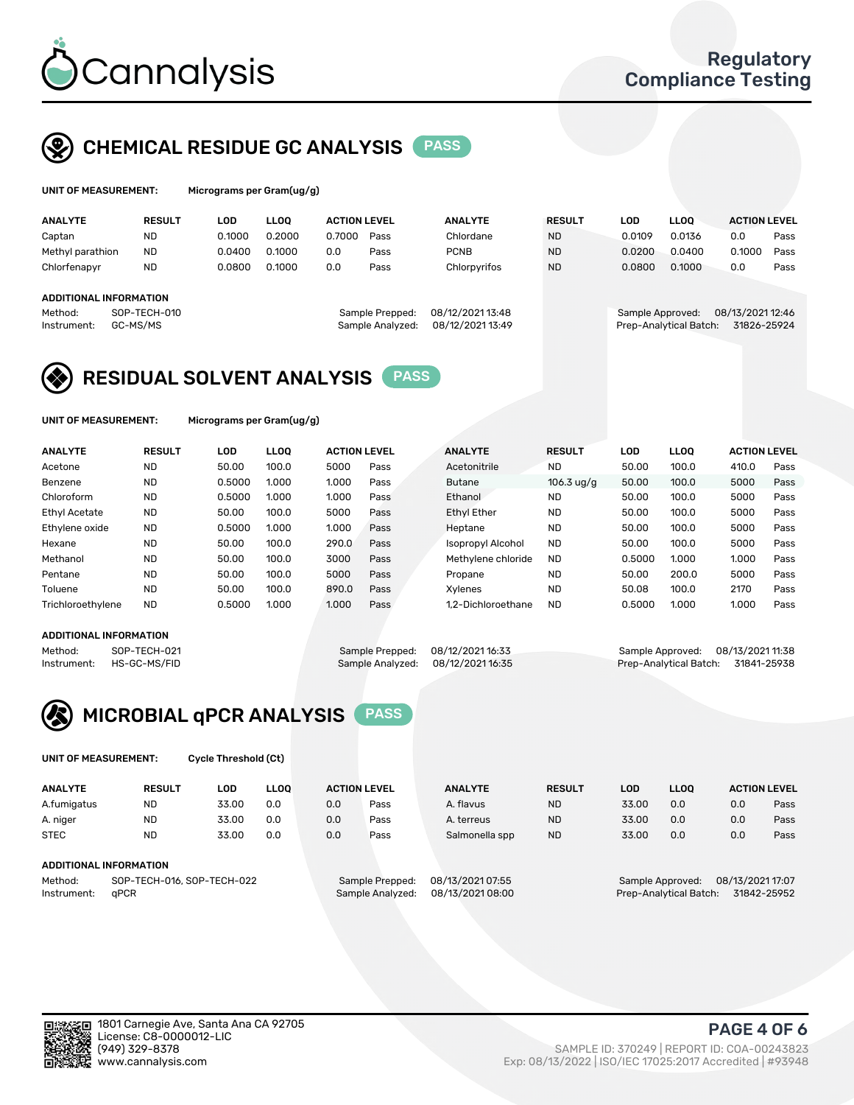

## CHEMICAL RESIDUE GC ANALYSIS PASS

| UNIT OF MEASUREMENT: | Mic |
|----------------------|-----|
|----------------------|-----|

programs per Gram(ug/g<mark>):</mark>

| <b>ANALYTE</b>         | <b>RESULT</b>            | LOD    | <b>LLOO</b> | <b>ACTION LEVEL</b> |                                     | <b>ANALYTE</b>                       | <b>RESULT</b> | <b>LOD</b> |        | <b>LLOO</b>                                | <b>ACTION LEVEL</b>             |      |
|------------------------|--------------------------|--------|-------------|---------------------|-------------------------------------|--------------------------------------|---------------|------------|--------|--------------------------------------------|---------------------------------|------|
| Captan                 | <b>ND</b>                | 0.1000 | 0.2000      | 0.7000              | Pass                                | Chlordane                            | <b>ND</b>     | 0.0109     |        | 0.0136                                     | 0.0                             | Pass |
| Methyl parathion       | <b>ND</b>                | 0.0400 | 0.1000      | 0.0                 | Pass                                | <b>PCNB</b>                          | <b>ND</b>     |            | 0.0200 | 0.0400                                     | 0.1000                          | Pass |
| Chlorfenapyr           | <b>ND</b>                | 0.0800 | 0.1000      | 0.0                 | Pass                                | Chlorpyrifos                         | <b>ND</b>     |            | 0.0800 | 0.1000                                     | 0.0                             | Pass |
|                        |                          |        |             |                     |                                     |                                      |               |            |        |                                            |                                 |      |
| ADDITIONAL INFORMATION |                          |        |             |                     |                                     |                                      |               |            |        |                                            |                                 |      |
| Method:<br>Instrument: | SOP-TECH-010<br>GC-MS/MS |        |             |                     | Sample Prepped:<br>Sample Analyzed: | 08/12/2021 13:48<br>08/12/2021 13:49 |               |            |        | Sample Approved:<br>Prep-Analytical Batch: | 08/13/2021 12:46<br>31826-25924 |      |
|                        |                          |        |             |                     |                                     |                                      |               |            |        |                                            |                                 |      |

## RESIDUAL SOLVENT ANALYSIS PASS

UNIT OF MEASUREMENT: Micrograms per Gram(ug/g)

| <b>ANALYTE</b>       | <b>RESULT</b> | <b>LOD</b> | <b>LLOO</b> | <b>ACTION LEVEL</b> |      | <b>ANALYTE</b>           | <b>RESULT</b>        | LOD    | <b>LLOO</b> | <b>ACTION LEVEL</b> |      |
|----------------------|---------------|------------|-------------|---------------------|------|--------------------------|----------------------|--------|-------------|---------------------|------|
| Acetone              | <b>ND</b>     | 50.00      | 100.0       | 5000                | Pass | Acetonitrile             | <b>ND</b>            | 50.00  | 100.0       | 410.0               | Pass |
| Benzene              | <b>ND</b>     | 0.5000     | 1.000       | 1.000               | Pass | <b>Butane</b>            | $106.3 \text{ uq/q}$ | 50.00  | 100.0       | 5000                | Pass |
| Chloroform           | <b>ND</b>     | 0.5000     | 1.000       | 1.000               | Pass | Ethanol                  | <b>ND</b>            | 50.00  | 100.0       | 5000                | Pass |
| <b>Ethyl Acetate</b> | <b>ND</b>     | 50.00      | 100.0       | 5000                | Pass | <b>Ethyl Ether</b>       | <b>ND</b>            | 50.00  | 100.0       | 5000                | Pass |
| Ethylene oxide       | <b>ND</b>     | 0.5000     | 1.000       | 1.000               | Pass | Heptane                  | <b>ND</b>            | 50.00  | 100.0       | 5000                | Pass |
| Hexane               | <b>ND</b>     | 50.00      | 100.0       | 290.0               | Pass | <b>Isopropyl Alcohol</b> | <b>ND</b>            | 50.00  | 100.0       | 5000                | Pass |
| Methanol             | <b>ND</b>     | 50.00      | 100.0       | 3000                | Pass | Methylene chloride       | <b>ND</b>            | 0.5000 | 1.000       | 1.000               | Pass |
| Pentane              | <b>ND</b>     | 50.00      | 100.0       | 5000                | Pass | Propane                  | <b>ND</b>            | 50.00  | 200.0       | 5000                | Pass |
| Toluene              | <b>ND</b>     | 50.00      | 100.0       | 890.0               | Pass | Xvlenes                  | <b>ND</b>            | 50.08  | 100.0       | 2170                | Pass |
| Trichloroethylene    | <b>ND</b>     | 0.5000     | 1.000       | 1.000               | Pass | 1.2-Dichloroethane       | <b>ND</b>            | 0.5000 | 1.000       | 1.000               | Pass |

#### ADDITIONAL INFORMATION

Method: SOP-TECH-021 Sample Prepped: 08/12/2021 16:33 Sample Approved: 08/13/2021 11:38<br>Instrument: HS-GC-MS/FID Sample Analyzed: 08/12/2021 16:35 Prep-Analytical Batch: 31841-25938 Prep-Analytical Batch: 31841-25938



UNIT OF MEASUREMENT: Cycle Threshold (Ct)

| <b>ANALYTE</b> | <b>RESULT</b>                 | LOD   | <b>LLOO</b> |     | <b>ACTION LEVEL</b> | <b>ANALYTE</b>   | <b>RESULT</b> | LOD   | LL <sub>00</sub> |                  | <b>ACTION LEVEL</b> |
|----------------|-------------------------------|-------|-------------|-----|---------------------|------------------|---------------|-------|------------------|------------------|---------------------|
| A.fumigatus    | <b>ND</b>                     | 33.00 | 0.0         | 0.0 | Pass                | A. flavus        | <b>ND</b>     | 33.00 | 0.0              | 0.0              | Pass                |
| A. niger       | <b>ND</b>                     | 33.00 | 0.0         | 0.0 | Pass                | A. terreus       | <b>ND</b>     | 33.00 | 0.0              | 0.0              | Pass                |
| <b>STEC</b>    | <b>ND</b>                     | 33.00 | 0.0         | 0.0 | Pass                | Salmonella spp   | <b>ND</b>     | 33.00 | 0.0              | 0.0              | Pass                |
|                | <b>ADDITIONAL INFORMATION</b> |       |             |     |                     |                  |               |       |                  |                  |                     |
| Method:        | SOP-TECH-016, SOP-TECH-022    |       |             |     | Sample Prepped:     | 08/13/2021 07:55 |               |       | Sample Approved: | 08/13/2021 17:07 |                     |

Instrument: qPCR Sample Analyzed: 08/13/2021 08:00 Prep-Analytical Batch: 31842-25952

PAGE 4 OF 6

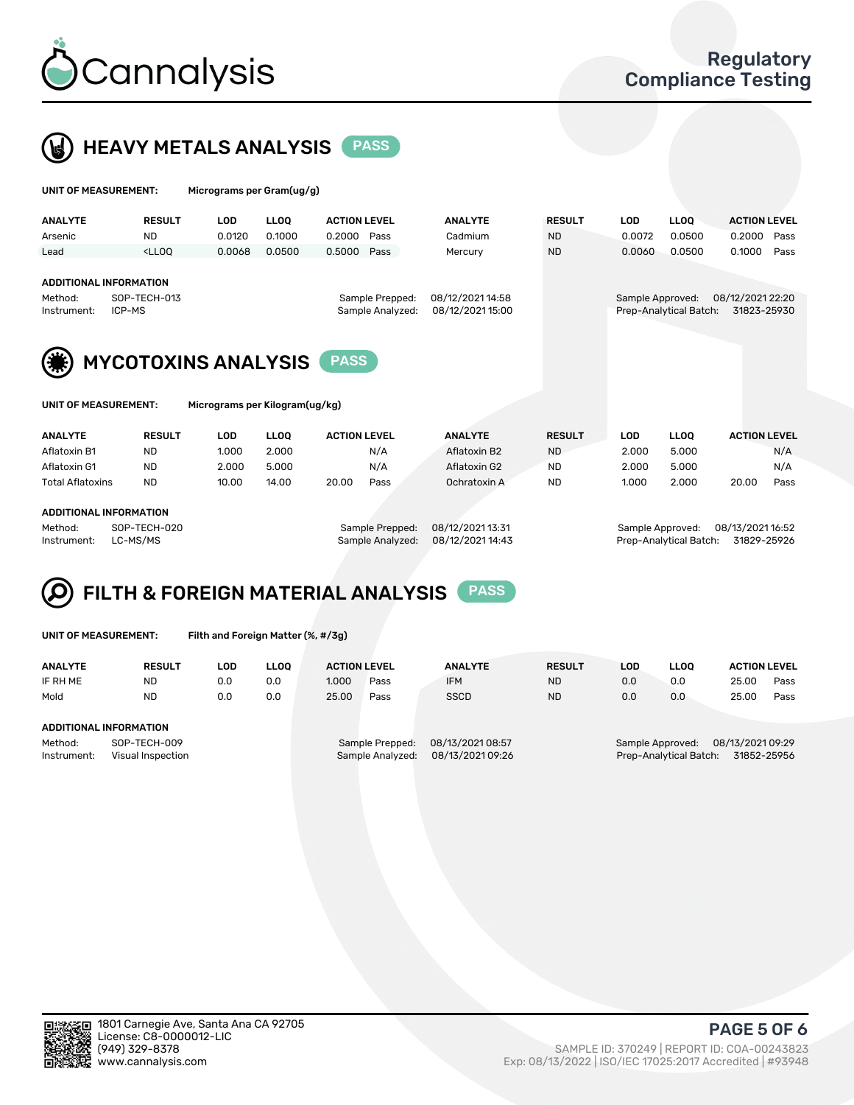



| UNIT OF MEASUREMENT:          |                            | Micrograms per Gram(ug/g)      |             |                     |                  |               |                  |                        |                     |      |
|-------------------------------|----------------------------|--------------------------------|-------------|---------------------|------------------|---------------|------------------|------------------------|---------------------|------|
| <b>ANALYTE</b>                | <b>RESULT</b>              | <b>LOD</b>                     | <b>LLOO</b> | <b>ACTION LEVEL</b> | <b>ANALYTE</b>   | <b>RESULT</b> | <b>LOD</b>       | <b>LLOO</b>            | <b>ACTION LEVEL</b> |      |
| Arsenic                       | <b>ND</b>                  | 0.0120                         | 0.1000      | 0.2000<br>Pass      | Cadmium          | <b>ND</b>     | 0.0072           | 0.0500                 | 0.2000              | Pass |
| Lead                          | $<$ LLOO                   | 0.0068                         | 0.0500      | 0.5000<br>Pass      | Mercury          | <b>ND</b>     | 0.0060           | 0.0500                 | 0.1000              | Pass |
| <b>ADDITIONAL INFORMATION</b> |                            |                                |             |                     |                  |               |                  |                        |                     |      |
| Method:                       | SOP-TECH-013               |                                |             | Sample Prepped:     | 08/12/2021 14:58 |               | Sample Approved: |                        | 08/12/2021 22:20    |      |
| Instrument:                   | ICP-MS                     |                                |             | Sample Analyzed:    | 08/12/2021 15:00 |               |                  | Prep-Analytical Batch: | 31823-25930         |      |
|                               |                            |                                |             |                     |                  |               |                  |                        |                     |      |
|                               | <b>MYCOTOXINS ANALYSIS</b> |                                |             | <b>PASS</b>         |                  |               |                  |                        |                     |      |
|                               |                            |                                |             |                     |                  |               |                  |                        |                     |      |
| <b>UNIT OF MEASUREMENT:</b>   |                            | Micrograms per Kilogram(ug/kg) |             |                     |                  |               |                  |                        |                     |      |
| <b>ANALYTE</b>                | <b>RESULT</b>              | LOD                            | <b>LLOO</b> | <b>ACTION LEVEL</b> | <b>ANALYTE</b>   | <b>RESULT</b> | <b>LOD</b>       | <b>LLOO</b>            | <b>ACTION LEVEL</b> |      |
| Aflatoxin B1                  | <b>ND</b>                  | 1.000                          | 2.000       | N/A                 | Aflatoxin B2     | <b>ND</b>     | 2.000            | 5.000                  |                     | N/A  |
| Aflatoxin G1                  | <b>ND</b>                  | 2.000                          | 5.000       | N/A                 | Aflatoxin G2     | <b>ND</b>     | 2.000            | 5.000                  |                     | N/A  |
| <b>Total Aflatoxins</b>       | <b>ND</b>                  | 10.00                          | 14.00       | 20.00<br>Pass       | Ochratoxin A     | <b>ND</b>     | 1.000            | 2.000                  | 20.00               | Pass |
|                               |                            |                                |             |                     |                  |               |                  |                        |                     |      |
| <b>ADDITIONAL INFORMATION</b> |                            |                                |             |                     |                  |               |                  |                        |                     |      |
| Method:                       | SOP-TECH-020               |                                |             | Sample Prepped:     | 08/12/2021 13:31 |               | Sample Approved: |                        | 08/13/2021 16:52    |      |
| Instrument:                   | LC-MS/MS                   |                                |             | Sample Analyzed:    | 08/12/2021 14:43 |               |                  | Prep-Analytical Batch: | 31829-25926         |      |

#### FILTH & FOREIGN MATERIAL ANALYSIS PASS Q

UNIT OF MEASUREMENT: Filth and Foreign Matter (%, #/3g)

| <b>ANALYTE</b>                                              | <b>RESULT</b> | LOD | <b>LLOO</b> | <b>ACTION LEVEL</b>                 |      | <b>ANALYTE</b>                       | <b>RESULT</b> | LOD | <b>LLOO</b>                                                                   | <b>ACTION LEVEL</b> |      |  |
|-------------------------------------------------------------|---------------|-----|-------------|-------------------------------------|------|--------------------------------------|---------------|-----|-------------------------------------------------------------------------------|---------------------|------|--|
| IF RH ME                                                    | <b>ND</b>     | 0.0 | 0.0         | 1.000                               | Pass | <b>IFM</b>                           | <b>ND</b>     | 0.0 | 0.0                                                                           | 25.00               | Pass |  |
| Mold                                                        | <b>ND</b>     | 0.0 | 0.0         | 25.00                               | Pass | <b>SSCD</b>                          | <b>ND</b>     | 0.0 | 0.0                                                                           | 25.00               | Pass |  |
| ADDITIONAL INFORMATION                                      |               |     |             |                                     |      |                                      |               |     |                                                                               |                     |      |  |
| SOP-TECH-009<br>Method:<br>Instrument:<br>Visual Inspection |               |     |             | Sample Prepped:<br>Sample Analyzed: |      | 08/13/2021 08:57<br>08/13/2021 09:26 |               |     | 08/13/2021 09:29<br>Sample Approved:<br>Prep-Analytical Batch:<br>31852-25956 |                     |      |  |